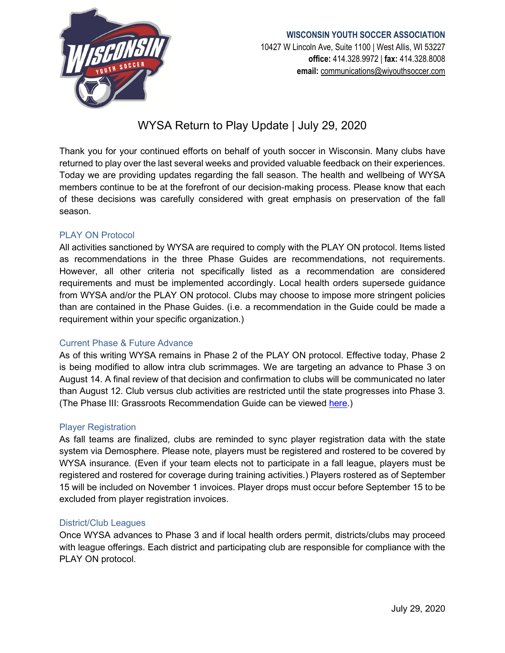

# **WISCONSIN YOUTH SOCCER ASSOCIATION** 10427 W Lincoln Ave, Suite 1100 | West Allis, WI 53227 **office:** 414.328.9972 | **fax:** 414.328.8008 **email:** [communications@wiyouthsoccer.com](mailto:communications@wiyouthsoccer.com)

# WYSA Return to Play Update | July 29, 2020

Thank you for your continued efforts on behalf of youth soccer in Wisconsin. Many clubs have returned to play over the last several weeks and provided valuable feedback on their experiences. Today we are providing updates regarding the fall season. The health and wellbeing of WYSA members continue to be at the forefront of our decision-making process. Please know that each of these decisions was carefully considered with great emphasis on preservation of the fall season.

# PLAY ON Protocol

All activities sanctioned by WYSA are required to comply with the PLAY ON protocol. Items listed as recommendations in the three Phase Guides are recommendations, not requirements. However, all other criteria not specifically listed as a recommendation are considered requirements and must be implemented accordingly. Local health orders supersede guidance from WYSA and/or the PLAY ON protocol. Clubs may choose to impose more stringent policies than are contained in the Phase Guides. (i.e. a recommendation in the Guide could be made a requirement within your specific organization.)

#### Current Phase & Future Advance

As of this writing WYSA remains in Phase 2 of the PLAY ON protocol. Effective today, Phase 2 is being modified to allow intra club scrimmages. We are targeting an advance to Phase 3 on August 14. A final review of that decision and confirmation to clubs will be communicated no later than August 12. Club versus club activities are restricted until the state progresses into Phase 3. (The Phase III: Grassroots Recommendation Guide can be viewed [here.](https://www.ussoccer.com/playon/guides/phase-3-grassroots))

#### Player Registration

As fall teams are finalized, clubs are reminded to sync player registration data with the state system via Demosphere. Please note, players must be registered and rostered to be covered by WYSA insurance. (Even if your team elects not to participate in a fall league, players must be registered and rostered for coverage during training activities.) Players rostered as of September 15 will be included on November 1 invoices. Player drops must occur before September 15 to be excluded from player registration invoices.

# District/Club Leagues

Once WYSA advances to Phase 3 and if local health orders permit, districts/clubs may proceed with league offerings. Each district and participating club are responsible for compliance with the PLAY ON protocol.